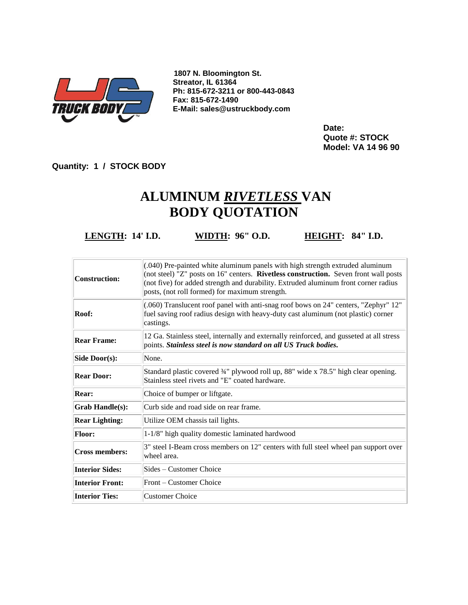

**1807 N. Bloomington St. Streator, IL 61364 Ph: 815-672-3211 or 800-443-0843 Fax: 815-672-1490 E-Mail: sales@ustruckbody.com**

> **Date: Quote #: STOCK Model: VA 14 96 90**

**Quantity: 1 / STOCK BODY**

## **ALUMINUM** *RIVETLESS* **VAN BODY QUOTATION**

**LENGTH: 14' I.D. WIDTH: 96" O.D. HEIGHT: 84" I.D.**

| Construction:          | (.040) Pre-painted white aluminum panels with high strength extruded aluminum<br>(not steel) "Z" posts on 16" centers. Rivetless construction. Seven front wall posts<br>(not five) for added strength and durability. Extruded aluminum front corner radius<br>posts, (not roll formed) for maximum strength. |
|------------------------|----------------------------------------------------------------------------------------------------------------------------------------------------------------------------------------------------------------------------------------------------------------------------------------------------------------|
| Roof:                  | (.060) Translucent roof panel with anti-snag roof bows on 24" centers, "Zephyr" 12"<br>fuel saving roof radius design with heavy-duty cast aluminum (not plastic) corner<br>castings.                                                                                                                          |
| <b>Rear Frame:</b>     | 12 Ga. Stainless steel, internally and externally reinforced, and gusseted at all stress<br>points. Stainless steel is now standard on all US Truck bodies.                                                                                                                                                    |
| Side Door(s):          | None.                                                                                                                                                                                                                                                                                                          |
| <b>Rear Door:</b>      | Standard plastic covered 34" plywood roll up, 88" wide x 78.5" high clear opening.<br>Stainless steel rivets and "E" coated hardware.                                                                                                                                                                          |
| Rear:                  | Choice of bumper or liftgate.                                                                                                                                                                                                                                                                                  |
| <b>Grab Handle(s):</b> | Curb side and road side on rear frame.                                                                                                                                                                                                                                                                         |
| <b>Rear Lighting:</b>  | Utilize OEM chassis tail lights.                                                                                                                                                                                                                                                                               |
| <b>Floor:</b>          | 1-1/8" high quality domestic laminated hardwood                                                                                                                                                                                                                                                                |
| Cross members:         | 3" steel I-Beam cross members on 12" centers with full steel wheel pan support over<br>wheel area.                                                                                                                                                                                                             |
| <b>Interior Sides:</b> | Sides – Customer Choice                                                                                                                                                                                                                                                                                        |
| <b>Interior Front:</b> | Front – Customer Choice                                                                                                                                                                                                                                                                                        |
| <b>Interior Ties:</b>  | <b>Customer Choice</b>                                                                                                                                                                                                                                                                                         |